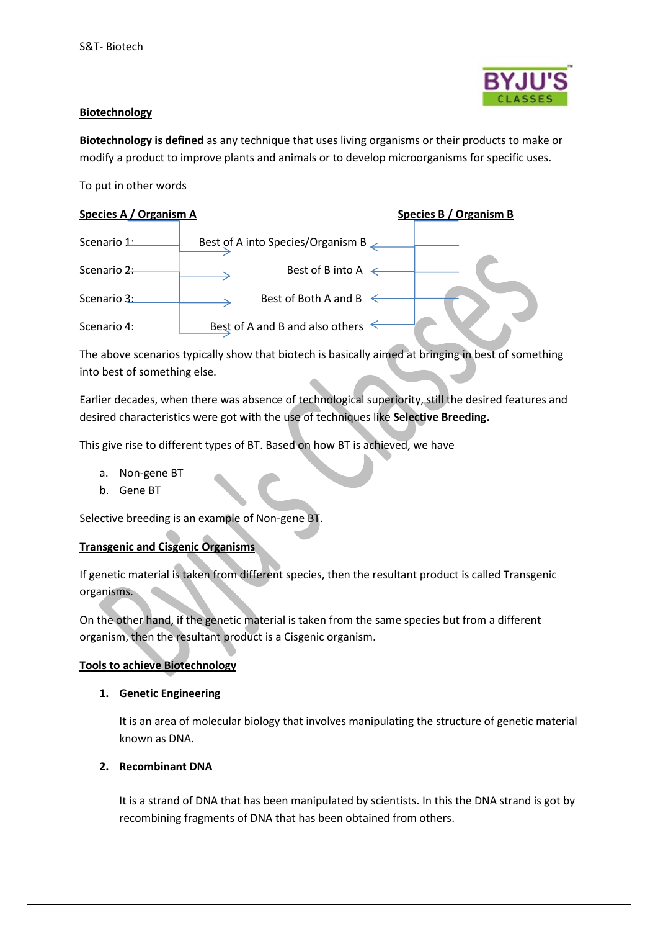

#### **Biotechnology**

**Biotechnology is defined** as any technique that uses living organisms or their products to make or modify a product to improve plants and animals or to develop microorganisms for specific uses.

To put in other words

## **Species A / Organism A Species B / Organism B**

| Scenario 1: | Best of A into Species/Organism B $\angle$ |
|-------------|--------------------------------------------|
| Scenario 2: | Best of B into A $\leftarrow$              |
| Scenario 3: | Best of Both A and B                       |
| Scenario 4: | Best of A and B and also others            |

The above scenarios typically show that biotech is basically aimed at bringing in best of something into best of something else.

Earlier decades, when there was absence of technological superiority, still the desired features and desired characteristics were got with the use of techniques like **Selective Breeding.** 

This give rise to different types of BT. Based on how BT is achieved, we have

- a. Non-gene BT
- b. Gene BT

Selective breeding is an example of Non-gene BT.

# **Transgenic and Cisgenic Organisms**

If genetic material is taken from different species, then the resultant product is called Transgenic organisms.

On the other hand, if the genetic material is taken from the same species but from a different organism, then the resultant product is a Cisgenic organism.

#### **Tools to achieve Biotechnology**

#### **1. Genetic Engineering**

It is an area of molecular biology that involves manipulating the structure of genetic material known as DNA.

# **2. Recombinant DNA**

It is a strand of DNA that has been manipulated by scientists. In this the DNA strand is got by recombining fragments of DNA that has been obtained from others.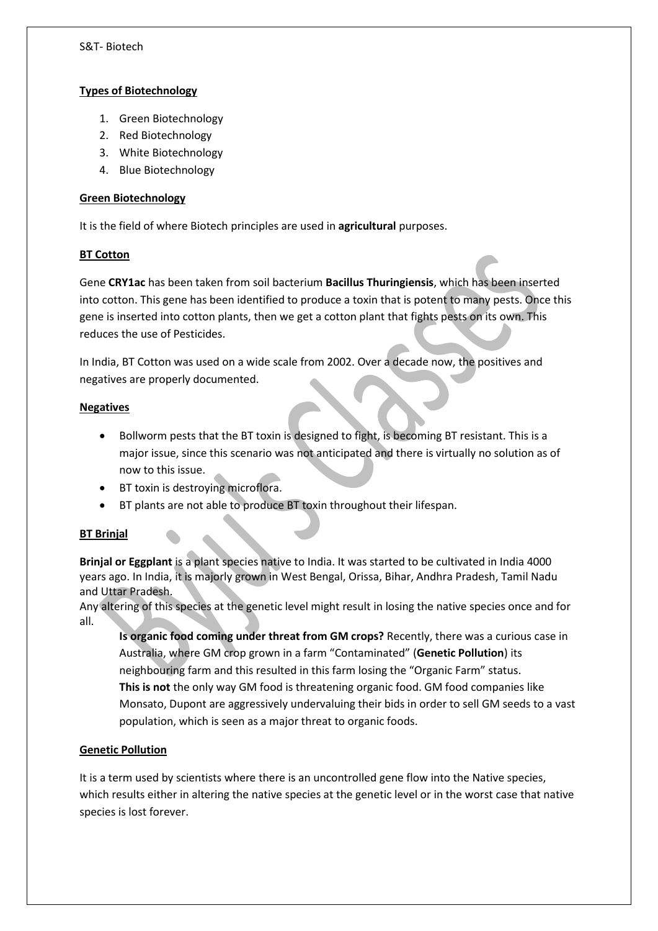### **Types of Biotechnology**

- 1. Green Biotechnology
- 2. Red Biotechnology
- 3. White Biotechnology
- 4. Blue Biotechnology

### **Green Biotechnology**

It is the field of where Biotech principles are used in **agricultural** purposes.

### **BT Cotton**

Gene **CRY1ac** has been taken from soil bacterium **Bacillus Thuringiensis**, which has been inserted into cotton. This gene has been identified to produce a toxin that is potent to many pests. Once this gene is inserted into cotton plants, then we get a cotton plant that fights pests on its own. This reduces the use of Pesticides.

In India, BT Cotton was used on a wide scale from 2002. Over a decade now, the positives and negatives are properly documented.

### **Negatives**

- Bollworm pests that the BT toxin is designed to fight, is becoming BT resistant. This is a major issue, since this scenario was not anticipated and there is virtually no solution as of now to this issue.
- BT toxin is destroying microflora.
- BT plants are not able to produce BT toxin throughout their lifespan.

# **BT Brinjal**

**Brinjal or Eggplant** is a plant species native to India. It was started to be cultivated in India 4000 years ago. In India, it is majorly grown in West Bengal, Orissa, Bihar, Andhra Pradesh, Tamil Nadu and Uttar Pradesh.

Any altering of this species at the genetic level might result in losing the native species once and for all.

**Is organic food coming under threat from GM crops?** Recently, there was a curious case in Australia, where GM crop grown in a farm "Contaminated" (**Genetic Pollution**) its neighbouring farm and this resulted in this farm losing the "Organic Farm" status. **This is not** the only way GM food is threatening organic food. GM food companies like Monsato, Dupont are aggressively undervaluing their bids in order to sell GM seeds to a vast population, which is seen as a major threat to organic foods.

# **Genetic Pollution**

It is a term used by scientists where there is an uncontrolled gene flow into the Native species, which results either in altering the native species at the genetic level or in the worst case that native species is lost forever.